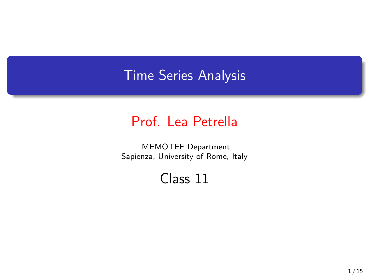### Time Series Analysis

#### Prof. Lea Petrella

MEMOTEF Department Sapienza, University of Rome, Italy

#### Class 11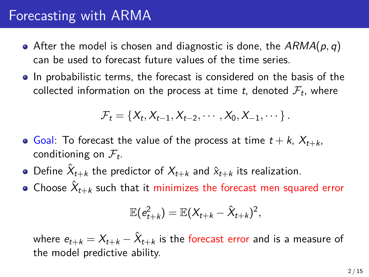### Forecasting with ARMA

- After the model is chosen and diagnostic is done, the *ARMA*(*p, q*) can be used to forecast future values of the time series.
- In probabilistic terms, the forecast is considered on the basis of the collected information on the process at time  $t$ , denoted  $\mathcal{F}_t$ , where

$$
\mathcal{F}_t = \{X_t, X_{t-1}, X_{t-2}, \cdots, X_0, X_{-1}, \cdots\}.
$$

- Goal: To forecast the value of the process at time  $t + k$ ,  $X_{t+k}$ , conditioning on *F<sup>t</sup>* .
- Define  $\hat{X}_{t+k}$  the predictor of  $X_{t+k}$  and  $\hat{x}_{t+k}$  its realization.
- Choose  $\hat{X}_{t+k}$  such that it minimizes the forecast men squared error

$$
\mathbb{E}(e_{t+k}^2)=\mathbb{E}(X_{t+k}-\hat{X}_{t+k})^2,
$$

where  $e_{t+k} = X_{t+k} - \hat{X}_{t+k}$  is the forecast error and is a measure of the model predictive ability.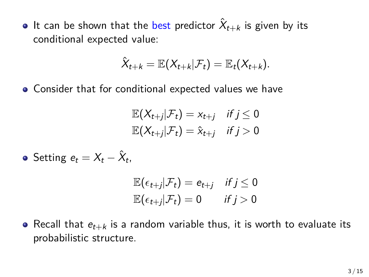It can be shown that the <mark>best</mark> predictor  $\hat{X}_{t+k}$  is given by its conditional expected value:

$$
\hat{X}_{t+k} = \mathbb{E}(X_{t+k}|\mathcal{F}_t) = \mathbb{E}_t(X_{t+k}).
$$

Consider that for conditional expected values we have

$$
\mathbb{E}(X_{t+j}|\mathcal{F}_t) = x_{t+j} \quad \text{if } j \leq 0
$$
  

$$
\mathbb{E}(X_{t+j}|\mathcal{F}_t) = \hat{x}_{t+j} \quad \text{if } j > 0
$$

Setting  $e_t = X_t - \hat{X}_t$ 

$$
\mathbb{E}(\epsilon_{t+j}|\mathcal{F}_t) = e_{t+j} \quad \text{if } j \leq 0
$$
  

$$
\mathbb{E}(\epsilon_{t+j}|\mathcal{F}_t) = 0 \quad \text{if } j > 0
$$

• Recall that  $e_{t+k}$  is a random variable thus, it is worth to evaluate its probabilistic structure.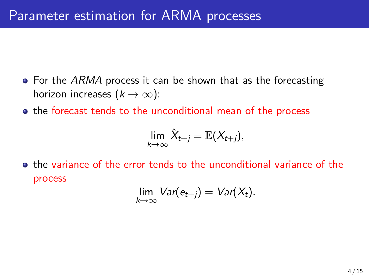- For the *ARMA* process it can be shown that as the forecasting horizon increases  $(k \rightarrow \infty)$ :
- the forecast tends to the unconditional mean of the process

$$
\lim_{k\to\infty}\hat{X}_{t+j}=\mathbb{E}(X_{t+j}),
$$

• the variance of the error tends to the unconditional variance of the process

$$
\lim_{k\to\infty} \text{Var}(e_{t+j}) = \text{Var}(X_t).
$$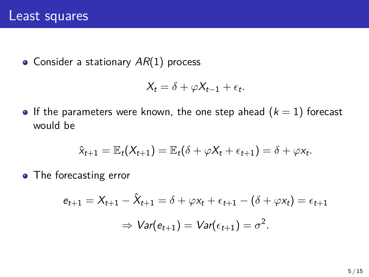• Consider a stationary  $AR(1)$  process

$$
X_t = \delta + \varphi X_{t-1} + \epsilon_t.
$$

**•** If the parameters were known, the one step ahead  $(k = 1)$  forecast would be

$$
\hat{x}_{t+1} = \mathbb{E}_t(X_{t+1}) = \mathbb{E}_t(\delta + \varphi X_t + \epsilon_{t+1}) = \delta + \varphi x_t.
$$

• The forecasting error

$$
e_{t+1} = X_{t+1} - \hat{X}_{t+1} = \delta + \varphi x_t + \epsilon_{t+1} - (\delta + \varphi x_t) = \epsilon_{t+1}
$$

$$
\Rightarrow \text{Var}(e_{t+1}) = \text{Var}(\epsilon_{t+1}) = \sigma^2.
$$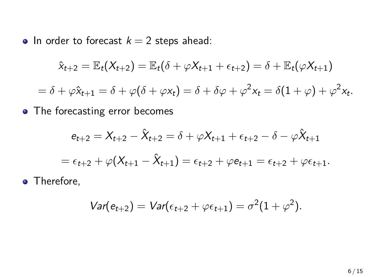• In order to forecast  $k = 2$  steps ahead:

$$
\hat{x}_{t+2} = \mathbb{E}_t(X_{t+2}) = \mathbb{E}_t(\delta + \varphi X_{t+1} + \epsilon_{t+2}) = \delta + \mathbb{E}_t(\varphi X_{t+1})
$$
  
=  $\delta + \varphi \hat{x}_{t+1} = \delta + \varphi(\delta + \varphi x_t) = \delta + \delta \varphi + \varphi^2 x_t = \delta(1 + \varphi) + \varphi^2 x_t.$ 

• The forecasting error becomes

$$
e_{t+2} = X_{t+2} - \hat{X}_{t+2} = \delta + \varphi X_{t+1} + \epsilon_{t+2} - \delta - \varphi \hat{X}_{t+1}
$$

$$
= \epsilon_{t+2} + \varphi(X_{t+1} - \hat{X}_{t+1}) = \epsilon_{t+2} + \varphi \epsilon_{t+1} = \epsilon_{t+2} + \varphi \epsilon_{t+1}.
$$

• Therefore,

$$
Var(e_{t+2}) = Var(\epsilon_{t+2} + \varphi \epsilon_{t+1}) = \sigma^2(1+\varphi^2).
$$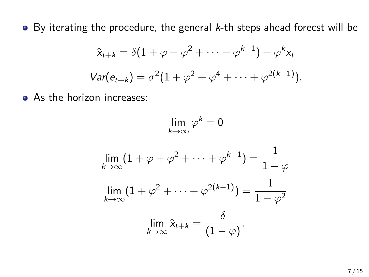By iterating the procedure, the general *k*-th steps ahead forecst will be

$$
\hat{x}_{t+k} = \delta(1 + \varphi + \varphi^2 + \dots + \varphi^{k-1}) + \varphi^k x_t
$$
  
Var(e\_{t+k}) =  $\sigma^2(1 + \varphi^2 + \varphi^4 + \dots + \varphi^{2(k-1)}).$ 

• As the horizon increases:

$$
\lim_{k \to \infty} \varphi^k = 0
$$
  

$$
\lim_{k \to \infty} (1 + \varphi + \varphi^2 + \dots + \varphi^{k-1}) = \frac{1}{1 - \varphi}
$$
  

$$
\lim_{k \to \infty} (1 + \varphi^2 + \dots + \varphi^{2(k-1)}) = \frac{1}{1 - \varphi^2}
$$
  

$$
\lim_{k \to \infty} \hat{x}_{t+k} = \frac{\delta}{(1 - \varphi)}.
$$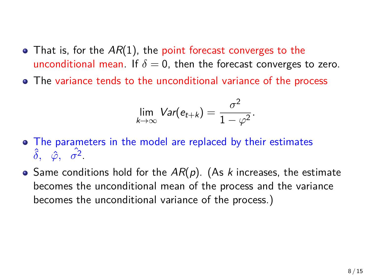- That is, for the AR(1), the point forecast converges to the unconditional mean. If  $\delta = 0$ , then the forecast converges to zero.
- The variance tends to the unconditional variance of the process

$$
\lim_{k\to\infty} \text{Var}(e_{t+k}) = \frac{\sigma^2}{1-\varphi^2}.
$$

- The parameters in the model are replaced by their estimates  $\hat{\delta}$ ,  $\hat{\varphi}$ ,  $\hat{\sigma^2}$ .
- Same conditions hold for the *AR*(*p*). (As *k* increases, the estimate becomes the unconditional mean of the process and the variance becomes the unconditional variance of the process.)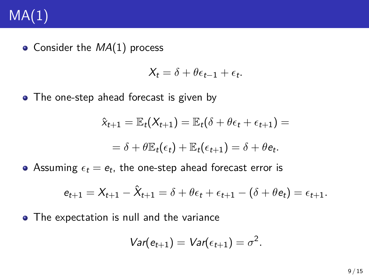# $MA(1)$

Consider the *MA*(1) process

$$
X_t = \delta + \theta \epsilon_{t-1} + \epsilon_t.
$$

• The one-step ahead forecast is given by

$$
\hat{x}_{t+1} = \mathbb{E}_t(X_{t+1}) = \mathbb{E}_t(\delta + \theta \epsilon_t + \epsilon_{t+1}) =
$$
  
=  $\delta + \theta \mathbb{E}_t(\epsilon_t) + \mathbb{E}_t(\epsilon_{t+1}) = \delta + \theta \epsilon_t.$ 

Assuming  $\epsilon_t = e_t$ , the one-step ahead forecast error is

$$
e_{t+1} = X_{t+1} - \hat{X}_{t+1} = \delta + \theta \epsilon_t + \epsilon_{t+1} - (\delta + \theta e_t) = \epsilon_{t+1}.
$$

• The expectation is null and the variance

$$
Var(e_{t+1}) = Var(\epsilon_{t+1}) = \sigma^2.
$$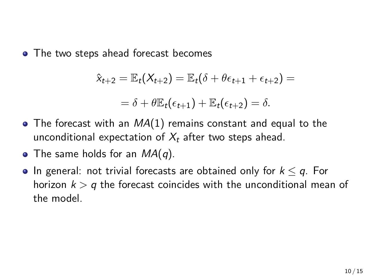• The two steps ahead forecast becomes

$$
\hat{x}_{t+2} = \mathbb{E}_t(X_{t+2}) = \mathbb{E}_t(\delta + \theta \epsilon_{t+1} + \epsilon_{t+2}) =
$$
  
=  $\delta + \theta \mathbb{E}_t(\epsilon_{t+1}) + \mathbb{E}_t(\epsilon_{t+2}) = \delta.$ 

- The forecast with an *MA*(1) remains constant and equal to the unconditional expectation of *X<sup>t</sup>* after two steps ahead.
- The same holds for an *MA*(*q*).
- In general: not trivial forecasts are obtained only for *k ≤ q*. For horizon *k > q* the forecast coincides with the unconditional mean of the model.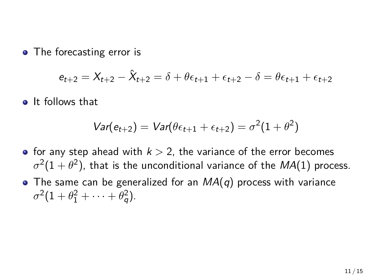• The forecasting error is

$$
e_{t+2} = X_{t+2} - \hat{X}_{t+2} = \delta + \theta \epsilon_{t+1} + \epsilon_{t+2} - \delta = \theta \epsilon_{t+1} + \epsilon_{t+2}
$$

**o** It follows that

$$
Var(e_{t+2}) = Var(\theta \epsilon_{t+1} + \epsilon_{t+2}) = \sigma^2(1+\theta^2)
$$

- for any step ahead with  $k > 2$ , the variance of the error becomes  $\sigma^2 (1 + \theta^2)$ , that is the unconditional variance of the  $\mathit{MA}(1)$  process.
- The same can be generalized for an *MA*(*q*) process with variance  $\sigma^2(1 + \theta_1^2 + \cdots + \theta_q^2).$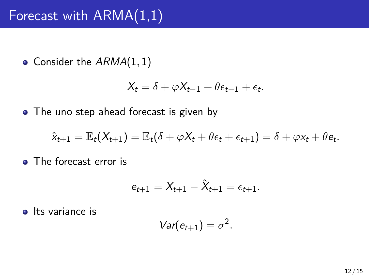## Forecast with ARMA(1,1)

Consider the *ARMA*(1*,* 1)

$$
X_t = \delta + \varphi X_{t-1} + \theta \epsilon_{t-1} + \epsilon_t.
$$

• The uno step ahead forecast is given by

$$
\hat{x}_{t+1} = \mathbb{E}_t(X_{t+1}) = \mathbb{E}_t(\delta + \varphi X_t + \theta \epsilon_t + \epsilon_{t+1}) = \delta + \varphi x_t + \theta e_t.
$$

**o** The forecast error is

$$
e_{t+1} = X_{t+1} - \hat{X}_{t+1} = \epsilon_{t+1}.
$$

**o** Its variance is

$$
Var(e_{t+1})=\sigma^2.
$$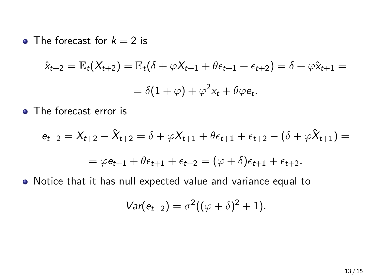• The forecast for  $k = 2$  is

$$
\hat{x}_{t+2} = \mathbb{E}_t(X_{t+2}) = \mathbb{E}_t(\delta + \varphi X_{t+1} + \theta \epsilon_{t+1} + \epsilon_{t+2}) = \delta + \varphi \hat{x}_{t+1} =
$$

$$
= \delta(1 + \varphi) + \varphi^2 x_t + \theta \varphi e_t.
$$

• The forecast error is

$$
e_{t+2} = X_{t+2} - \hat{X}_{t+2} = \delta + \varphi X_{t+1} + \theta \epsilon_{t+1} + \epsilon_{t+2} - (\delta + \varphi \hat{X}_{t+1}) =
$$
  
=  $\varphi e_{t+1} + \theta \epsilon_{t+1} + \epsilon_{t+2} = (\varphi + \delta) \epsilon_{t+1} + \epsilon_{t+2}.$ 

Notice that it has null expected value and variance equal to

$$
Var(e_{t+2}) = \sigma^2((\varphi + \delta)^2 + 1).
$$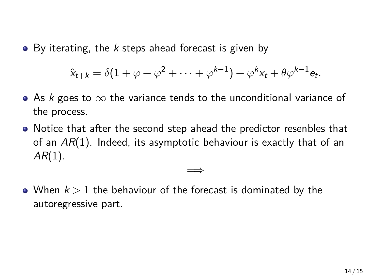By iterating, the *k* steps ahead forecast is given by

$$
\hat{x}_{t+k} = \delta(1+\varphi+\varphi^2+\cdots+\varphi^{k-1})+\varphi^k x_t + \theta \varphi^{k-1} e_t.
$$

- As *k* goes to *∞* the variance tends to the unconditional variance of the process.
- Notice that after the second step ahead the predictor resenbles that of an *AR*(1). Indeed, its asymptotic behaviour is exactly that of an *AR*(1).

=*⇒*

When *k >* 1 the behaviour of the forecast is dominated by the autoregressive part.